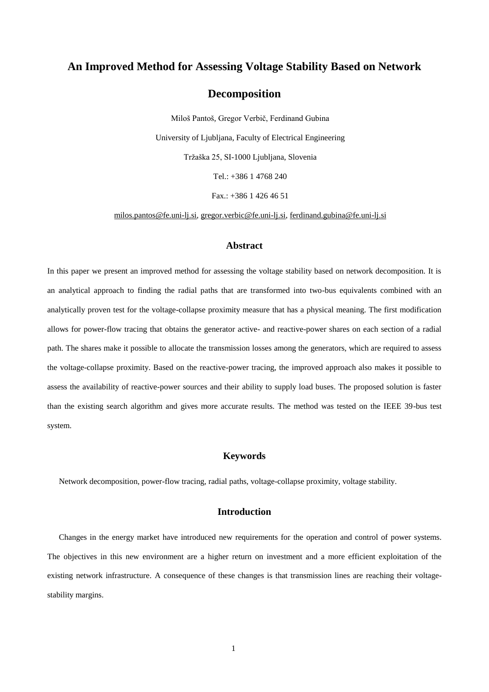# **An Improved Method for Assessing Voltage Stability Based on Network**

## **Decomposition**

Miloš Pantoš, Gregor Verbič, Ferdinand Gubina University of Ljubljana, Faculty of Electrical Engineering Tržaška 25, SI-1000 Ljubljana, Slovenia Tel.: +386 1 4768 240

Fax.: +386 1 426 46 51

[milos.pantos@fe.uni-lj.si,](mailto:milos.pantos@fe.uni-lj.si) [gregor.verbic@fe.uni-lj.si,](mailto:gregor.verbic@fe.uni-lj.si) [ferdinand.gubina@fe.uni-lj.si](mailto:ferdinand.gubina@fe.uni-lj.si)

### **Abstract**

In this paper we present an improved method for assessing the voltage stability based on network decomposition. It is an analytical approach to finding the radial paths that are transformed into two-bus equivalents combined with an analytically proven test for the voltage-collapse proximity measure that has a physical meaning. The first modification allows for power-flow tracing that obtains the generator active- and reactive-power shares on each section of a radial path. The shares make it possible to allocate the transmission losses among the generators, which are required to assess the voltage-collapse proximity. Based on the reactive-power tracing, the improved approach also makes it possible to assess the availability of reactive-power sources and their ability to supply load buses. The proposed solution is faster than the existing search algorithm and gives more accurate results. The method was tested on the IEEE 39-bus test system.

## **Keywords**

Network decomposition, power-flow tracing, radial paths, voltage-collapse proximity, voltage stability.

### **Introduction**

Changes in the energy market have introduced new requirements for the operation and control of power systems. The objectives in this new environment are a higher return on investment and a more efficient exploitation of the existing network infrastructure. A consequence of these changes is that transmission lines are reaching their voltagestability margins.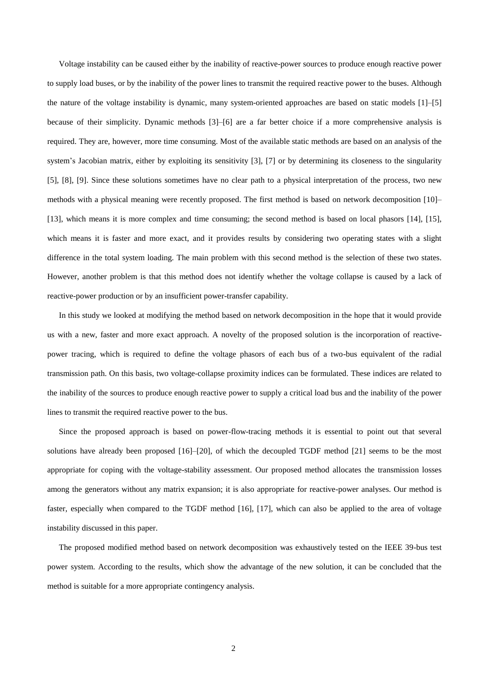Voltage instability can be caused either by the inability of reactive-power sources to produce enough reactive power to supply load buses, or by the inability of the power lines to transmit the required reactive power to the buses. Although the nature of the voltage instability is dynamic, many system-oriented approaches are based on static models [1]–[5] because of their simplicity. Dynamic methods [3]–[6] are a far better choice if a more comprehensive analysis is required. They are, however, more time consuming. Most of the available static methods are based on an analysis of the system's Jacobian matrix, either by exploiting its sensitivity [3], [7] or by determining its closeness to the singularity [5], [8], [9]. Since these solutions sometimes have no clear path to a physical interpretation of the process, two new methods with a physical meaning were recently proposed. The first method is based on network decomposition [10]– [13], which means it is more complex and time consuming; the second method is based on local phasors [14], [15], which means it is faster and more exact, and it provides results by considering two operating states with a slight difference in the total system loading. The main problem with this second method is the selection of these two states. However, another problem is that this method does not identify whether the voltage collapse is caused by a lack of reactive-power production or by an insufficient power-transfer capability.

In this study we looked at modifying the method based on network decomposition in the hope that it would provide us with a new, faster and more exact approach. A novelty of the proposed solution is the incorporation of reactivepower tracing, which is required to define the voltage phasors of each bus of a two-bus equivalent of the radial transmission path. On this basis, two voltage-collapse proximity indices can be formulated. These indices are related to the inability of the sources to produce enough reactive power to supply a critical load bus and the inability of the power lines to transmit the required reactive power to the bus.

Since the proposed approach is based on power-flow-tracing methods it is essential to point out that several solutions have already been proposed [16]–[20], of which the decoupled TGDF method [21] seems to be the most appropriate for coping with the voltage-stability assessment. Our proposed method allocates the transmission losses among the generators without any matrix expansion; it is also appropriate for reactive-power analyses. Our method is faster, especially when compared to the TGDF method [16], [17], which can also be applied to the area of voltage instability discussed in this paper.

The proposed modified method based on network decomposition was exhaustively tested on the IEEE 39-bus test power system. According to the results, which show the advantage of the new solution, it can be concluded that the method is suitable for a more appropriate contingency analysis.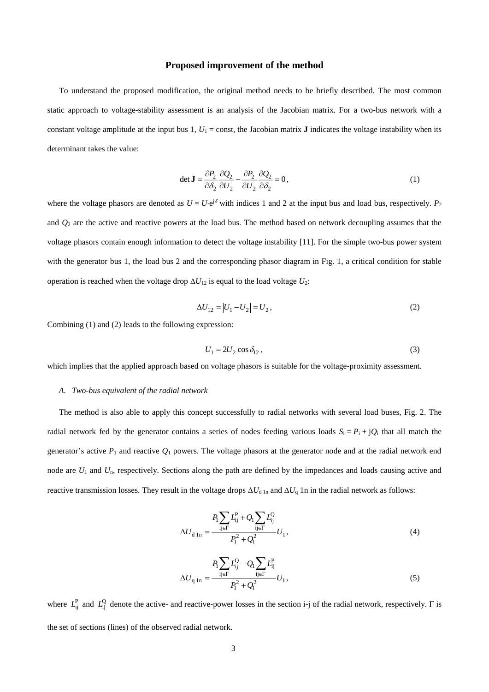#### **Proposed improvement of the method**

To understand the proposed modification, the original method needs to be briefly described. The most common static approach to voltage-stability assessment is an analysis of the Jacobian matrix. For a two-bus network with a constant voltage amplitude at the input bus 1,  $U_1$  = const, the Jacobian matrix **J** indicates the voltage instability when its determinant takes the value:

$$
\det \mathbf{J} = \frac{\partial P_2}{\partial \delta_2} \frac{\partial Q_2}{\partial U_2} - \frac{\partial P_2}{\partial U_2} \frac{\partial Q_2}{\partial \delta_2} = 0, \tag{1}
$$

where the voltage phasors are denoted as  $U = U \cdot e^{i\delta}$  with indices 1 and 2 at the input bus and load bus, respectively.  $P_2$ and *Q*<sup>2</sup> are the active and reactive powers at the load bus. The method based on network decoupling assumes that the voltage phasors contain enough information to detect the voltage instability [11]. For the simple two-bus power system with the generator bus 1, the load bus 2 and the corresponding phasor diagram in Fig. 1, a critical condition for stable operation is reached when the voltage drop  $\Delta U_{12}$  is equal to the load voltage  $U_2$ :

$$
\Delta U_{12} = |U_1 - U_2| = U_2,\tag{2}
$$

Combining (1) and (2) leads to the following expression:

$$
U_1 = 2U_2 \cos \delta_{12},\tag{3}
$$

which implies that the applied approach based on voltage phasors is suitable for the voltage-proximity assessment.

#### *A. Two-bus equivalent of the radial network*

The method is also able to apply this concept successfully to radial networks with several load buses, Fig. 2. The radial network fed by the generator contains a series of nodes feeding various loads  $S_i = P_i + jQ_i$  that all match the generator's active  $P_1$  and reactive  $Q_1$  powers. The voltage phasors at the generator node and at the radial network end node are *U*<sup>1</sup> and *U*n, respectively. Sections along the path are defined by the impedances and loads causing active and reactive transmission losses. They result in the voltage drops  $\Delta U_{d \ln}$  and  $\Delta U_q$  1n in the radial network as follows:

$$
\Delta U_{\rm d\,1n} = \frac{P_{\rm i}}{-\frac{\rm i}{2} \epsilon \Gamma} L_{\rm ij}^{\rm P} + Q_{\rm i} \sum_{\rm ij \in \Gamma} L_{\rm ij}^{\rm Q} L_{\rm i}}{P_{\rm i}^2 + Q_{\rm i}^2} U_{\rm 1},\tag{4}
$$

$$
\Delta U_{q \, \text{ln}} = \frac{P_1 \sum_{ij \in \Gamma} L_{ij}^Q - Q_1 \sum_{ij \in \Gamma} L_{ij}^P}{P_1^2 + Q_1^2} U_1, \tag{5}
$$

where  $L_{ij}^P$  and  $L_{ij}^Q$  denote the active- and reactive-power losses in the section i-j of the radial network, respectively.  $\Gamma$  is the set of sections (lines) of the observed radial network.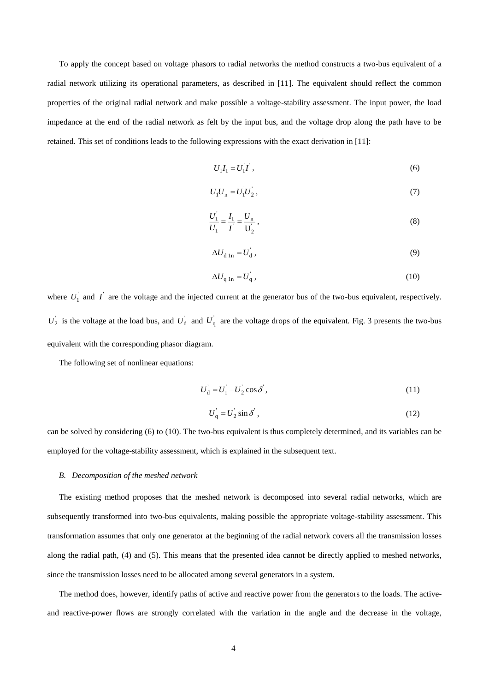To apply the concept based on voltage phasors to radial networks the method constructs a two-bus equivalent of a radial network utilizing its operational parameters, as described in [11]. The equivalent should reflect the common properties of the original radial network and make possible a voltage-stability assessment. The input power, the load impedance at the end of the radial network as felt by the input bus, and the voltage drop along the path have to be retained. This set of conditions leads to the following expressions with the exact derivation in [11]:

$$
U_1 I_1 = U_1 I \tag{6}
$$

$$
U_1 U_n = U_1 U_2 \,,\tag{7}
$$

$$
\frac{U_1}{U_1} = \frac{I_1}{I} = \frac{U_n}{U_2},
$$
\n(8)

$$
\Delta U_{\rm d\,In} = U_{\rm d}^{\dagger},\tag{9}
$$

$$
\Delta U_{\mathbf{q} \ln} = U_{\mathbf{q}} \,,\tag{10}
$$

where  $U_1$  and  $I$  are the voltage and the injected current at the generator bus of the two-bus equivalent, respectively.  $U_2$  is the voltage at the load bus, and  $U_d$  and  $U_q$  are the voltage drops of the equivalent. Fig. 3 presents the two-bus equivalent with the corresponding phasor diagram.

The following set of nonlinear equations:

$$
U_d = U_1 - U_2 \cos \delta \tag{11}
$$

$$
U_{\mathbf{q}} = U_2 \sin \delta \tag{12}
$$

can be solved by considering (6) to (10). The two-bus equivalent is thus completely determined, and its variables can be employed for the voltage-stability assessment, which is explained in the subsequent text.

#### *B. Decomposition of the meshed network*

The existing method proposes that the meshed network is decomposed into several radial networks, which are subsequently transformed into two-bus equivalents, making possible the appropriate voltage-stability assessment. This transformation assumes that only one generator at the beginning of the radial network covers all the transmission losses along the radial path, (4) and (5). This means that the presented idea cannot be directly applied to meshed networks, since the transmission losses need to be allocated among several generators in a system.

The method does, however, identify paths of active and reactive power from the generators to the loads. The activeand reactive-power flows are strongly correlated with the variation in the angle and the decrease in the voltage,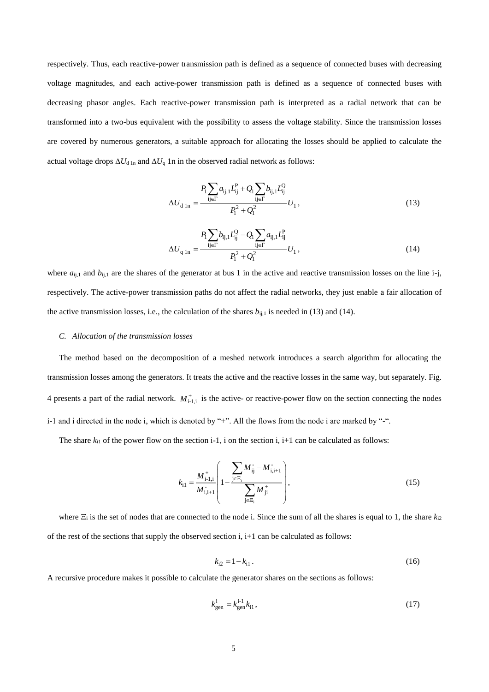respectively. Thus, each reactive-power transmission path is defined as a sequence of connected buses with decreasing voltage magnitudes, and each active-power transmission path is defined as a sequence of connected buses with decreasing phasor angles. Each reactive-power transmission path is interpreted as a radial network that can be transformed into a two-bus equivalent with the possibility to assess the voltage stability. Since the transmission losses are covered by numerous generators, a suitable approach for allocating the losses should be applied to calculate the actual voltage drops  $\Delta U_{d \ln}$  and  $\Delta U_q$  1n in the observed radial network as follows:

$$
\Delta U_{\rm d\,1n} = \frac{P_{\rm i} \sum_{\rm ij \in \Gamma} a_{\rm ij,1} L_{\rm ij}^{\rm P} + Q_{\rm i} \sum_{\rm ij \in \Gamma} b_{\rm ij,1} L_{\rm ij}^{\rm Q}}{P_{\rm i}^2 + Q_{\rm i}^2} U_{\rm 1},\tag{13}
$$

$$
P_{1} \sum_{ij \in \Gamma} b_{ij,1} L_{ij}^{Q} - Q_{1} \sum_{ij \in \Gamma} a_{ij,1} L_{ij}^{P}
$$
  

$$
\Delta U_{q \ln} = \frac{P_{1} \sum_{ij \in \Gamma} a_{ij,1} L_{ij}^{P}}{P_{1}^{2} + Q_{1}^{2}} U_{1}, \qquad (14)
$$

where  $a_{ij,1}$  and  $b_{ij,1}$  are the shares of the generator at bus 1 in the active and reactive transmission losses on the line i-j, respectively. The active-power transmission paths do not affect the radial networks, they just enable a fair allocation of the active transmission losses, i.e., the calculation of the shares  $b_{ij,1}$  is needed in (13) and (14).

#### *C. Allocation of the transmission losses*

The method based on the decomposition of a meshed network introduces a search algorithm for allocating the transmission losses among the generators. It treats the active and the reactive losses in the same way, but separately. Fig. 4 presents a part of the radial network.  $M_{i-1,i}^{+}$  is the active- or reactive-power flow on the section connecting the nodes i-1 and i directed in the node i, which is denoted by "+". All the flows from the node i are marked by "-".

The share  $k_{i1}$  of the power flow on the section i-1, i on the section i, i+1 can be calculated as follows:

$$
k_{i1} = \frac{M_{i-1,i}^{+}}{M_{i,i+1}^{-}} \left( 1 - \frac{\sum_{j \in \Xi_i} M_{ij}^{-} - M_{i,i+1}^{-}}{\sum_{j \in \Xi_i} M_{ji}^{+}} \right),
$$
\n(15)

where  $\Xi_i$  is the set of nodes that are connected to the node i. Since the sum of all the shares is equal to 1, the share  $k_{i2}$ of the rest of the sections that supply the observed section  $i$ ,  $i+1$  can be calculated as follows:

$$
k_{i2} = 1 - k_{i1} \,. \tag{16}
$$

A recursive procedure makes it possible to calculate the generator shares on the sections as follows:

$$
k_{\text{gen}}^{\text{i}} = k_{\text{gen}}^{\text{i-1}} k_{11},\tag{17}
$$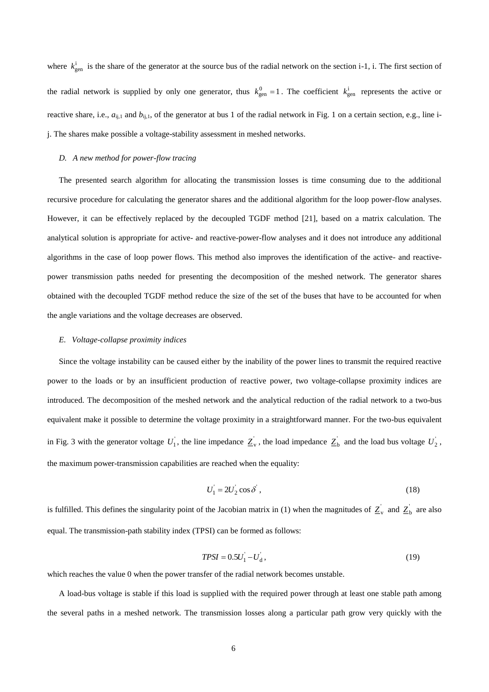where  $k_{\text{gen}}^1$  is the share of the generator at the source bus of the radial network on the section i-1, i. The first section of the radial network is supplied by only one generator, thus  $k_{\text{gen}}^0 = 1$ . The coefficient  $k_{\text{gen}}^i$  represents the active or reactive share, i.e.,  $a_{ij,1}$  and  $b_{ij,1}$ , of the generator at bus 1 of the radial network in Fig. 1 on a certain section, e.g., line ij. The shares make possible a voltage-stability assessment in meshed networks.

#### *D. A new method for power-flow tracing*

The presented search algorithm for allocating the transmission losses is time consuming due to the additional recursive procedure for calculating the generator shares and the additional algorithm for the loop power-flow analyses. However, it can be effectively replaced by the decoupled TGDF method [21], based on a matrix calculation. The analytical solution is appropriate for active- and reactive-power-flow analyses and it does not introduce any additional algorithms in the case of loop power flows. This method also improves the identification of the active- and reactivepower transmission paths needed for presenting the decomposition of the meshed network. The generator shares obtained with the decoupled TGDF method reduce the size of the set of the buses that have to be accounted for when the angle variations and the voltage decreases are observed.

#### *E. Voltage-collapse proximity indices*

Since the voltage instability can be caused either by the inability of the power lines to transmit the required reactive power to the loads or by an insufficient production of reactive power, two voltage-collapse proximity indices are introduced. The decomposition of the meshed network and the analytical reduction of the radial network to a two-bus equivalent make it possible to determine the voltage proximity in a straightforward manner. For the two-bus equivalent in Fig. 3 with the generator voltage  $U_1$ , the line impedance  $Z_v$ , the load impedance  $Z_b$  and the load bus voltage  $U_2$ , the maximum power-transmission capabilities are reached when the equality:

$$
U_1 = 2U_2 \cos \delta \tag{18}
$$

is fulfilled. This defines the singularity point of the Jacobian matrix in (1) when the magnitudes of  $Z_v$  and  $Z_b$  are also equal. The transmission-path stability index (TPSI) can be formed as follows:

$$
TPSI = 0.5U_1^{'} - U_d^{'}\,,\tag{19}
$$

which reaches the value 0 when the power transfer of the radial network becomes unstable.

A load-bus voltage is stable if this load is supplied with the required power through at least one stable path among the several paths in a meshed network. The transmission losses along a particular path grow very quickly with the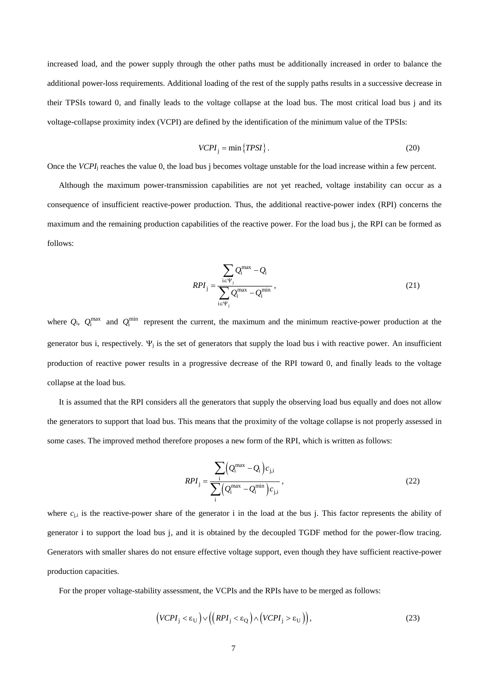increased load, and the power supply through the other paths must be additionally increased in order to balance the additional power-loss requirements. Additional loading of the rest of the supply paths results in a successive decrease in their TPSIs toward 0, and finally leads to the voltage collapse at the load bus. The most critical load bus j and its voltage-collapse proximity index (VCPI) are defined by the identification of the minimum value of the TPSIs:

$$
VCPI_j = \min \{TPSI\}.
$$
 (20)

Once the *VCPI*<sup>j</sup> reaches the value 0, the load bus j becomes voltage unstable for the load increase within a few percent.

Although the maximum power-transmission capabilities are not yet reached, voltage instability can occur as a consequence of insufficient reactive-power production. Thus, the additional reactive-power index (RPI) concerns the maximum and the remaining production capabilities of the reactive power. For the load bus j, the RPI can be formed as follows:

$$
RPI_{j} = \frac{\sum_{i \in \Psi_{j}} Q_{i}^{\max} - Q_{i}}{\sum_{i \in \Psi_{j}} Q_{i}^{\max} - Q_{i}^{\min}},
$$
\n(21)

where  $Q_i$ ,  $Q_i^{\text{max}}$  and  $Q_i^{\text{min}}$  represent the current, the maximum and the minimum reactive-power production at the generator bus i, respectively.  $\Psi_i$  is the set of generators that supply the load bus i with reactive power. An insufficient production of reactive power results in a progressive decrease of the RPI toward 0, and finally leads to the voltage collapse at the load bus.

It is assumed that the RPI considers all the generators that supply the observing load bus equally and does not allow the generators to support that load bus. This means that the proximity of the voltage collapse is not properly assessed in some cases. The improved method therefore proposes a new form of the RPI, which is written as follows:

$$
RPI_{\mathbf{j}} = \frac{\sum_{\mathbf{i}} (Q_{\mathbf{i}}^{\max} - Q_{\mathbf{i}}) c_{\mathbf{j}, \mathbf{i}}}{\sum_{\mathbf{i}} (Q_{\mathbf{i}}^{\max} - Q_{\mathbf{i}}^{\min}) c_{\mathbf{j}, \mathbf{i}}},
$$
\n(22)

where  $c_{j,i}$  is the reactive-power share of the generator i in the load at the bus j. This factor represents the ability of generator i to support the load bus j, and it is obtained by the decoupled TGDF method for the power-flow tracing. Generators with smaller shares do not ensure effective voltage support, even though they have sufficient reactive-power production capacities.

For the proper voltage-stability assessment, the VCPIs and the RPIs have to be merged as follows:

$$
\left(VCPI_j < \varepsilon_U\right) \vee \left(\left(RPI_j < \varepsilon_Q\right) \wedge \left(VCPI_j > \varepsilon_U\right)\right),\tag{23}
$$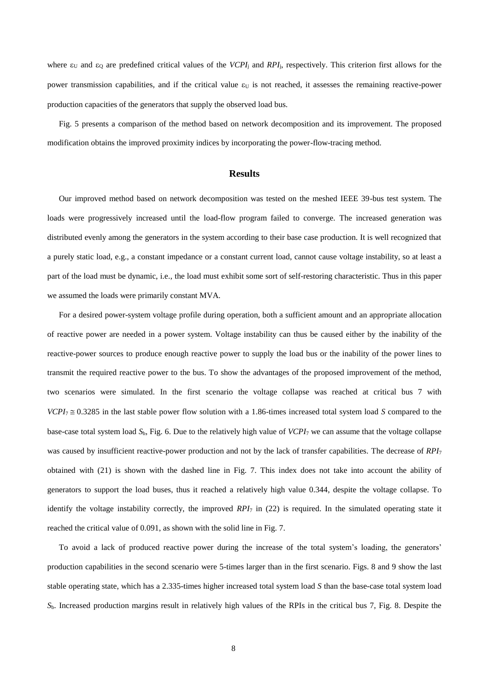where  $\varepsilon_U$  and  $\varepsilon_Q$  are predefined critical values of the *VCPI*<sub>j</sub> and *RPI*<sub>j</sub>, respectively. This criterion first allows for the power transmission capabilities, and if the critical value  $\varepsilon_U$  is not reached, it assesses the remaining reactive-power production capacities of the generators that supply the observed load bus.

Fig. 5 presents a comparison of the method based on network decomposition and its improvement. The proposed modification obtains the improved proximity indices by incorporating the power-flow-tracing method.

### **Results**

Our improved method based on network decomposition was tested on the meshed IEEE 39-bus test system. The loads were progressively increased until the load-flow program failed to converge. The increased generation was distributed evenly among the generators in the system according to their base case production. It is well recognized that a purely static load, e.g., a constant impedance or a constant current load, cannot cause voltage instability, so at least a part of the load must be dynamic, i.e., the load must exhibit some sort of self-restoring characteristic. Thus in this paper we assumed the loads were primarily constant MVA.

For a desired power-system voltage profile during operation, both a sufficient amount and an appropriate allocation of reactive power are needed in a power system. Voltage instability can thus be caused either by the inability of the reactive-power sources to produce enough reactive power to supply the load bus or the inability of the power lines to transmit the required reactive power to the bus. To show the advantages of the proposed improvement of the method, two scenarios were simulated. In the first scenario the voltage collapse was reached at critical bus 7 with  $VCPI_7 \approx 0.3285$  in the last stable power flow solution with a 1.86-times increased total system load *S* compared to the base-case total system load *S*b, Fig. 6. Due to the relatively high value of *VCPI*<sup>7</sup> we can assume that the voltage collapse was caused by insufficient reactive-power production and not by the lack of transfer capabilities. The decrease of *RPI*<sup>7</sup> obtained with (21) is shown with the dashed line in Fig. 7. This index does not take into account the ability of generators to support the load buses, thus it reached a relatively high value 0.344, despite the voltage collapse. To identify the voltage instability correctly, the improved *RPI*<sup>7</sup> in (22) is required. In the simulated operating state it reached the critical value of 0.091, as shown with the solid line in Fig. 7.

To avoid a lack of produced reactive power during the increase of the total system's loading, the generators' production capabilities in the second scenario were 5-times larger than in the first scenario. Figs. 8 and 9 show the last stable operating state, which has a 2.335-times higher increased total system load *S* than the base-case total system load *S*b. Increased production margins result in relatively high values of the RPIs in the critical bus 7, Fig. 8. Despite the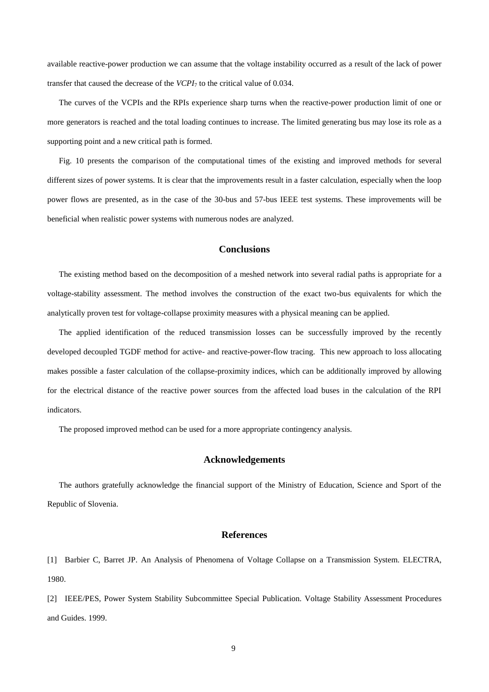available reactive-power production we can assume that the voltage instability occurred as a result of the lack of power transfer that caused the decrease of the *VCPI*<sup>7</sup> to the critical value of 0.034.

The curves of the VCPIs and the RPIs experience sharp turns when the reactive-power production limit of one or more generators is reached and the total loading continues to increase. The limited generating bus may lose its role as a supporting point and a new critical path is formed.

Fig. 10 presents the comparison of the computational times of the existing and improved methods for several different sizes of power systems. It is clear that the improvements result in a faster calculation, especially when the loop power flows are presented, as in the case of the 30-bus and 57-bus IEEE test systems. These improvements will be beneficial when realistic power systems with numerous nodes are analyzed.

## **Conclusions**

The existing method based on the decomposition of a meshed network into several radial paths is appropriate for a voltage-stability assessment. The method involves the construction of the exact two-bus equivalents for which the analytically proven test for voltage-collapse proximity measures with a physical meaning can be applied.

The applied identification of the reduced transmission losses can be successfully improved by the recently developed decoupled TGDF method for active- and reactive-power-flow tracing. This new approach to loss allocating makes possible a faster calculation of the collapse-proximity indices, which can be additionally improved by allowing for the electrical distance of the reactive power sources from the affected load buses in the calculation of the RPI indicators.

The proposed improved method can be used for a more appropriate contingency analysis.

### **Acknowledgements**

The authors gratefully acknowledge the financial support of the Ministry of Education, Science and Sport of the Republic of Slovenia.

### **References**

[1] Barbier C, Barret JP. An Analysis of Phenomena of Voltage Collapse on a Transmission System. ELECTRA, 1980.

[2] IEEE/PES, Power System Stability Subcommittee Special Publication. Voltage Stability Assessment Procedures and Guides. 1999.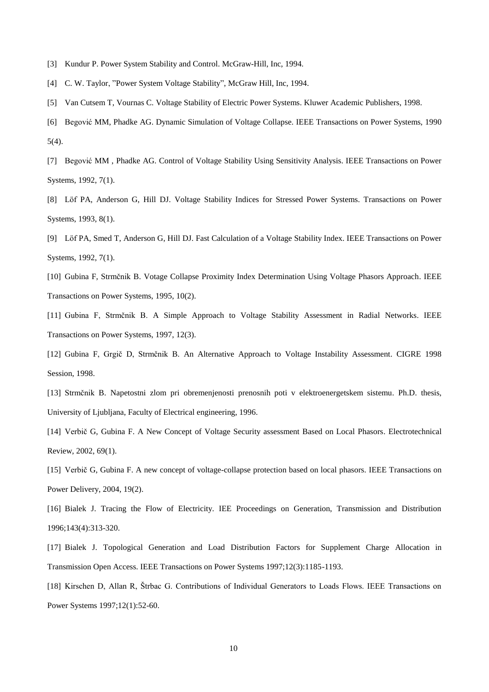- [3] Kundur P. Power System Stability and Control. McGraw-Hill, Inc, 1994.
- [4] C. W. Taylor, "Power System Voltage Stability", McGraw Hill, Inc, 1994.
- [5] Van Cutsem T, Vournas C. Voltage Stability of Electric Power Systems. Kluwer Academic Publishers, 1998.
- [6] Begović MM, Phadke AG. Dynamic Simulation of Voltage Collapse. IEEE Transactions on Power Systems, 1990 5(4).
- [7] Begović MM , Phadke AG. Control of Voltage Stability Using Sensitivity Analysis. IEEE Transactions on Power Systems, 1992, 7(1).
- [8] Löf PA, Anderson G, Hill DJ. Voltage Stability Indices for Stressed Power Systems. Transactions on Power Systems, 1993, 8(1).
- [9] Löf PA, Smed T, Anderson G, Hill DJ. Fast Calculation of a Voltage Stability Index. IEEE Transactions on Power Systems, 1992, 7(1).
- [10] Gubina F, Strmčnik B. Votage Collapse Proximity Index Determination Using Voltage Phasors Approach. IEEE Transactions on Power Systems, 1995, 10(2).
- [11] Gubina F, Strmčnik B. A Simple Approach to Voltage Stability Assessment in Radial Networks. IEEE Transactions on Power Systems, 1997, 12(3).
- [12] Gubina F, Grgič D, Strmčnik B. An Alternative Approach to Voltage Instability Assessment. CIGRE 1998 Session, 1998.
- [13] Strmčnik B. Napetostni zlom pri obremenjenosti prenosnih poti v elektroenergetskem sistemu. Ph.D. thesis, University of Ljubljana, Faculty of Electrical engineering, 1996.
- [14] Verbič G, Gubina F. A New Concept of Voltage Security assessment Based on Local Phasors. Electrotechnical Review, 2002, 69(1).
- [15] Verbič G, Gubina F. A new concept of voltage-collapse protection based on local phasors. IEEE Transactions on Power Delivery, 2004, 19(2).
- [16] Bialek J. Tracing the Flow of Electricity. IEE Proceedings on Generation, Transmission and Distribution 1996;143(4):313-320.
- [17] Bialek J. Topological Generation and Load Distribution Factors for Supplement Charge Allocation in Transmission Open Access. IEEE Transactions on Power Systems 1997;12(3):1185-1193.
- [18] Kirschen D, Allan R, Štrbac G. Contributions of Individual Generators to Loads Flows. IEEE Transactions on Power Systems 1997;12(1):52-60.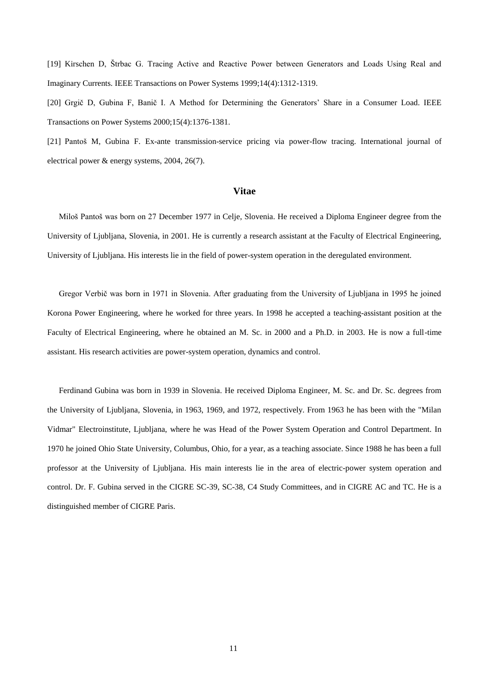[19] Kirschen D, Štrbac G. Tracing Active and Reactive Power between Generators and Loads Using Real and Imaginary Currents. IEEE Transactions on Power Systems 1999;14(4):1312-1319.

[20] Grgič D, Gubina F, Banič I. A Method for Determining the Generators' Share in a Consumer Load. IEEE Transactions on Power Systems 2000;15(4):1376-1381.

[21] Pantoš M, Gubina F. Ex-ante transmission-service pricing via power-flow tracing. International journal of electrical power & energy systems, 2004, 26(7).

### **Vitae**

Miloš Pantoš was born on 27 December 1977 in Celje, Slovenia. He received a Diploma Engineer degree from the University of Ljubljana, Slovenia, in 2001. He is currently a research assistant at the Faculty of Electrical Engineering, University of Ljubljana. His interests lie in the field of power-system operation in the deregulated environment.

Gregor Verbič was born in 1971 in Slovenia. After graduating from the University of Ljubljana in 1995 he joined Korona Power Engineering, where he worked for three years. In 1998 he accepted a teaching-assistant position at the Faculty of Electrical Engineering, where he obtained an M. Sc. in 2000 and a Ph.D. in 2003. He is now a full-time assistant. His research activities are power-system operation, dynamics and control.

Ferdinand Gubina was born in 1939 in Slovenia. He received Diploma Engineer, M. Sc. and Dr. Sc. degrees from the University of Ljubljana, Slovenia, in 1963, 1969, and 1972, respectively. From 1963 he has been with the "Milan Vidmar" Electroinstitute, Ljubljana, where he was Head of the Power System Operation and Control Department. In 1970 he joined Ohio State University, Columbus, Ohio, for a year, as a teaching associate. Since 1988 he has been a full professor at the University of Ljubljana. His main interests lie in the area of electric-power system operation and control. Dr. F. Gubina served in the CIGRE SC-39, SC-38, C4 Study Committees, and in CIGRE AC and TC. He is a distinguished member of CIGRE Paris.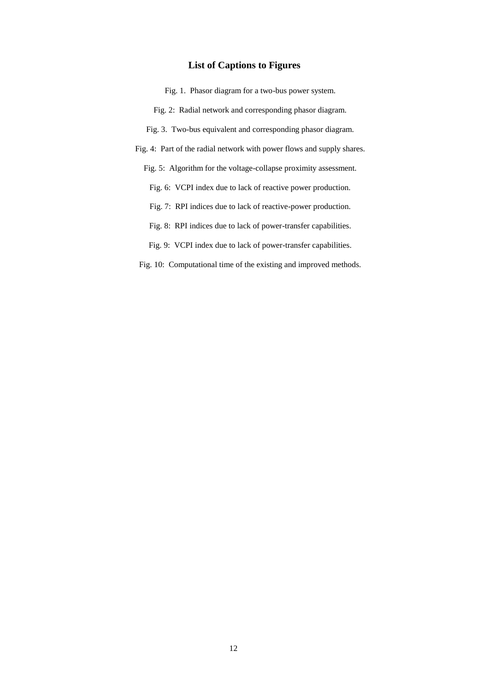# **List of Captions to Figures**

Fig. 1. Phasor diagram for a two-bus power system. Fig. 2: Radial network and corresponding phasor diagram. Fig. 3. Two-bus equivalent and corresponding phasor diagram. Fig. 4: Part of the radial network with power flows and supply shares. Fig. 5: Algorithm for the voltage-collapse proximity assessment. Fig. 6: VCPI index due to lack of reactive power production. Fig. 7: RPI indices due to lack of reactive-power production. Fig. 8: RPI indices due to lack of power-transfer capabilities. Fig. 9: VCPI index due to lack of power-transfer capabilities. Fig. 10: Computational time of the existing and improved methods.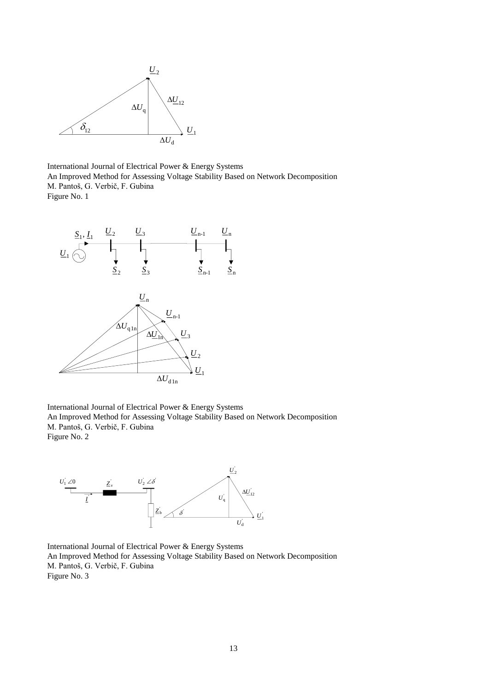

International Journal of Electrical Power & Energy Systems An Improved Method for Assessing Voltage Stability Based on Network Decomposition M. Pantoš, G. Verbič, F. Gubina Figure No. 1



International Journal of Electrical Power & Energy Systems An Improved Method for Assessing Voltage Stability Based on Network Decomposition M. Pantoš, G. Verbič, F. Gubina Figure No. 2



International Journal of Electrical Power & Energy Systems An Improved Method for Assessing Voltage Stability Based on Network Decomposition M. Pantoš, G. Verbič, F. Gubina Figure No. 3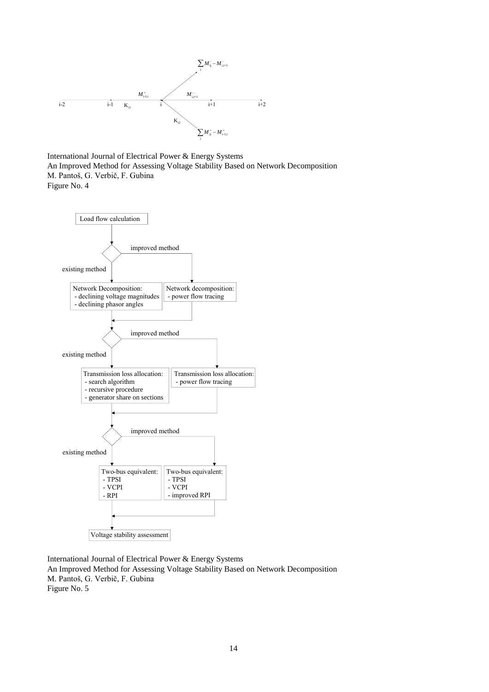

International Journal of Electrical Power & Energy Systems An Improved Method for Assessing Voltage Stability Based on Network Decomposition M. Pantoš, G. Verbič, F. Gubina Figure No. 4



International Journal of Electrical Power & Energy Systems An Improved Method for Assessing Voltage Stability Based on Network Decomposition M. Pantoš, G. Verbič, F. Gubina Figure No. 5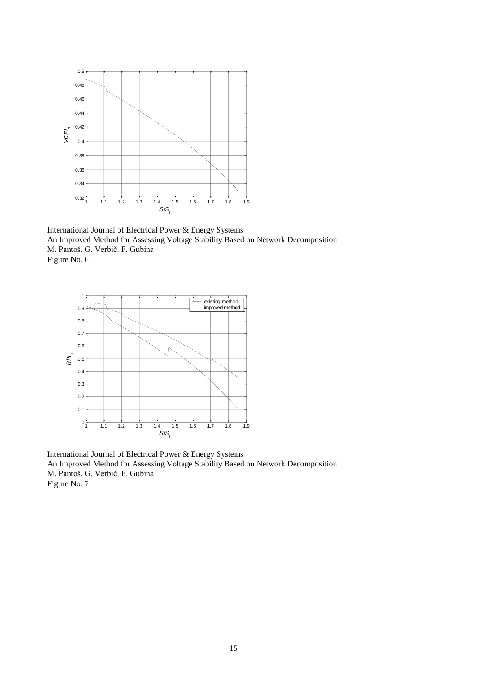

International Journal of Electrical Power & Energy Systems An Improved Method for Assessing Voltage Stability Based on Network Decomposition M. Pantoš, G. Verbič, F. Gubina Figure No. 6



International Journal of Electrical Power & Energy Systems An Improved Method for Assessing Voltage Stability Based on Network Decomposition M. Pantoš, G. Verbič, F. Gubina Figure No. 7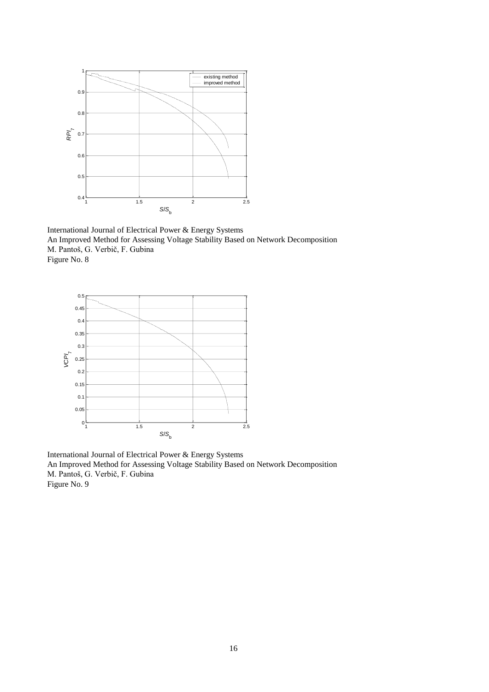

International Journal of Electrical Power & Energy Systems An Improved Method for Assessing Voltage Stability Based on Network Decomposition M. Pantoš, G. Verbič, F. Gubina Figure No. 8



International Journal of Electrical Power & Energy Systems An Improved Method for Assessing Voltage Stability Based on Network Decomposition M. Pantoš, G. Verbič, F. Gubina Figure No. 9